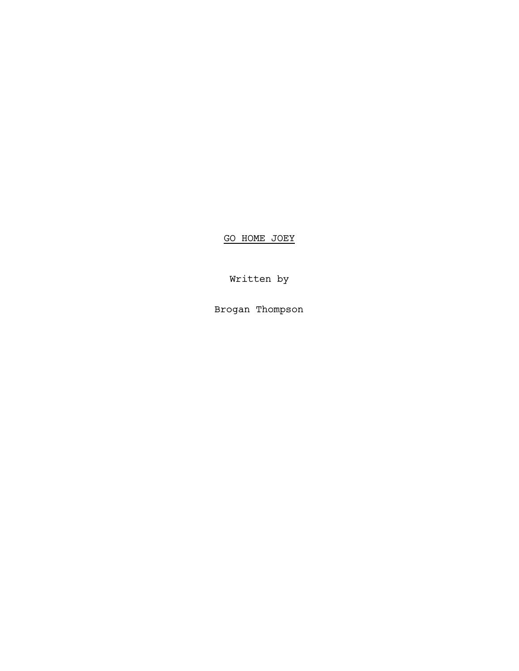GO HOME JOEY

Written by

Brogan Thompson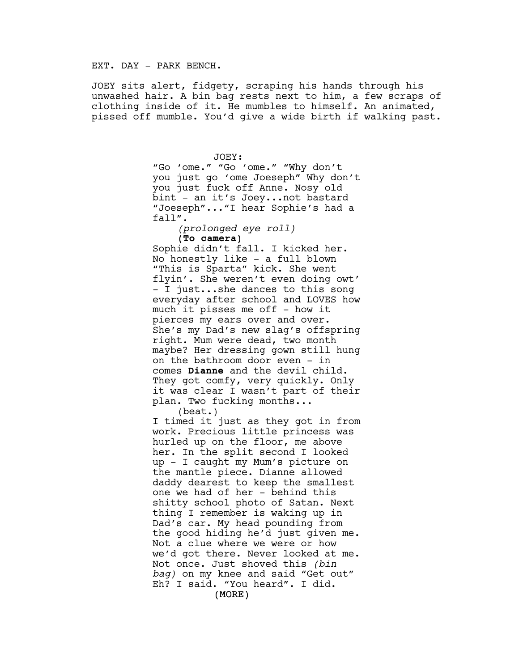EXT. DAY - PARK BENCH.

JOEY sits alert, fidgety, scraping his hands through his unwashed hair. A bin bag rests next to him, a few scraps of clothing inside of it. He mumbles to himself. An animated, pissed off mumble. You'd give a wide birth if walking past.

> JOEY: "Go 'ome." "Go 'ome." "Why don't you just go 'ome Joeseph" Why don't you just fuck off Anne. Nosy old bint - an it's Joey...not bastard "Joeseph"..."I hear Sophie's had a fall". *(prolonged eye roll)* **(To camera)** Sophie didn't fall. I kicked her. No honestly like - a full blown "This is Sparta" kick. She went flyin'. She weren't even doing owt' - I just...she dances to this song everyday after school and LOVES how much it pisses me off - how it pierces my ears over and over. She's my Dad's new slag's offspring right. Mum were dead, two month maybe? Her dressing gown still hung on the bathroom door even - in comes **Dianne** and the devil child. They got comfy, very quickly. Only it was clear I wasn't part of their plan. Two fucking months...

> > (beat.)

(MORE) I timed it just as they got in from work. Precious little princess was hurled up on the floor, me above her. In the split second I looked up - I caught my Mum's picture on the mantle piece. Dianne allowed daddy dearest to keep the smallest one we had of her - behind this shitty school photo of Satan. Next thing I remember is waking up in Dad's car. My head pounding from the good hiding he'd just given me. Not a clue where we were or how we'd got there. Never looked at me. Not once. Just shoved this *(bin bag)* on my knee and said "Get out" Eh? I said. "You heard". I did.